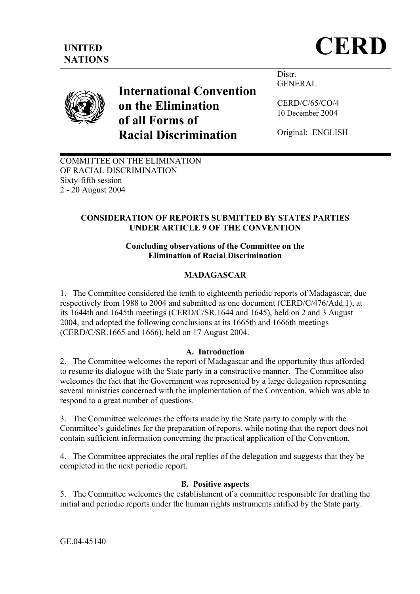

# **International Convention on the Elimination of all Forms of Racial Discrimination**

Distr. GENERAL

CERD/C/65/CO/4 10 December 2004

Original: ENGLISH

COMMITTEE ON THE ELIMINATION OF RACIAL DISCRIMINATION Sixty-fifth session 2 - 20 August 2004

### **CONSIDERATION OF REPORTS SUBMITTED BY STATES PARTIES UNDER ARTICLE 9 OF THE CONVENTION**

#### **Concluding observations of the Committee on the Elimination of Racial Discrimination**

## **MADAGASCAR**

1. The Committee considered the tenth to eighteenth periodic reports of Madagascar, due respectively from 1988 to 2004 and submitted as one document (CERD/C/476/Add.1), at its 1644th and 1645th meetings (CERD/C/SR.1644 and 1645), held on 2 and 3 August 2004, and adopted the following conclusions at its 1665th and 1666th meetings (CERD/C/SR.1665 and 1666), held on 17 August 2004.

#### **A. Introduction**

2. The Committee welcomes the report of Madagascar and the opportunity thus afforded to resume its dialogue with the State party in a constructive manner. The Committee also welcomes the fact that the Government was represented by a large delegation representing several ministries concerned with the implementation of the Convention, which was able to respond to a great number of questions.

3. The Committee welcomes the efforts made by the State party to comply with the Committee's guidelines for the preparation of reports, while noting that the report does not contain sufficient information concerning the practical application of the Convention.

4. The Committee appreciates the oral replies of the delegation and suggests that they be completed in the next periodic report.

#### **B. Positive aspects**

5. The Committee welcomes the establishment of a committee responsible for drafting the initial and periodic reports under the human rights instruments ratified by the State party.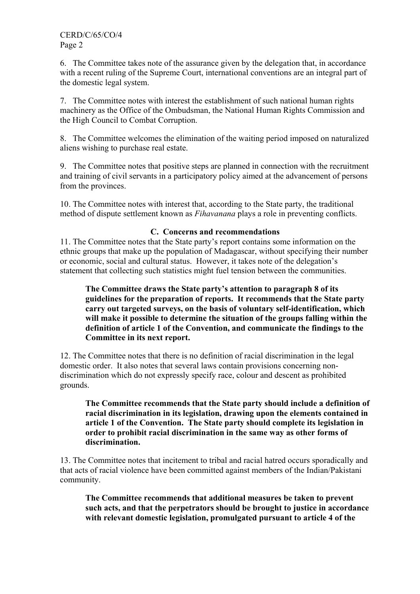6. The Committee takes note of the assurance given by the delegation that, in accordance with a recent ruling of the Supreme Court, international conventions are an integral part of the domestic legal system.

7. The Committee notes with interest the establishment of such national human rights machinery as the Office of the Ombudsman, the National Human Rights Commission and the High Council to Combat Corruption.

8. The Committee welcomes the elimination of the waiting period imposed on naturalized aliens wishing to purchase real estate.

9. The Committee notes that positive steps are planned in connection with the recruitment and training of civil servants in a participatory policy aimed at the advancement of persons from the provinces.

10. The Committee notes with interest that, according to the State party, the traditional method of dispute settlement known as *Fihavanana* plays a role in preventing conflicts.

#### **C. Concerns and recommendations**

11. The Committee notes that the State party's report contains some information on the ethnic groups that make up the population of Madagascar, without specifying their number or economic, social and cultural status. However, it takes note of the delegation's statement that collecting such statistics might fuel tension between the communities.

#### **The Committee draws the State party's attention to paragraph 8 of its guidelines for the preparation of reports. It recommends that the State party carry out targeted surveys, on the basis of voluntary self-identification, which will make it possible to determine the situation of the groups falling within the definition of article 1 of the Convention, and communicate the findings to the Committee in its next report.**

12. The Committee notes that there is no definition of racial discrimination in the legal domestic order. It also notes that several laws contain provisions concerning nondiscrimination which do not expressly specify race, colour and descent as prohibited grounds.

#### **The Committee recommends that the State party should include a definition of racial discrimination in its legislation, drawing upon the elements contained in article 1 of the Convention. The State party should complete its legislation in order to prohibit racial discrimination in the same way as other forms of discrimination.**

13. The Committee notes that incitement to tribal and racial hatred occurs sporadically and that acts of racial violence have been committed against members of the Indian/Pakistani community.

**The Committee recommends that additional measures be taken to prevent such acts, and that the perpetrators should be brought to justice in accordance with relevant domestic legislation, promulgated pursuant to article 4 of the**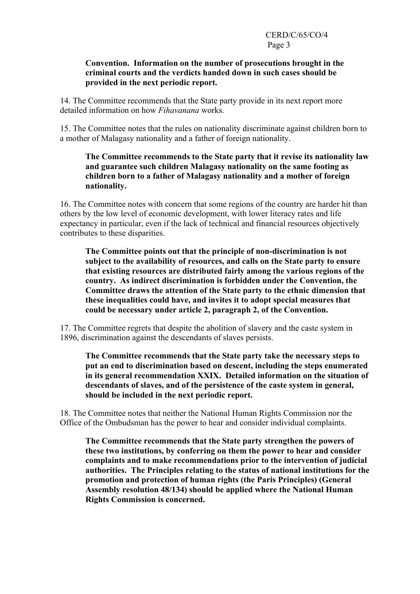#### **Convention. Information on the number of prosecutions brought in the criminal courts and the verdicts handed down in such cases should be provided in the next periodic report.**

14. The Committee recommends that the State party provide in its next report more detailed information on how *Fihavanana* works.

15. The Committee notes that the rules on nationality discriminate against children born to a mother of Malagasy nationality and a father of foreign nationality.

#### **The Committee recommends to the State party that it revise its nationality law and guarantee such children Malagasy nationality on the same footing as children born to a father of Malagasy nationality and a mother of foreign nationality.**

16. The Committee notes with concern that some regions of the country are harder hit than others by the low level of economic development, with lower literacy rates and life expectancy in particular, even if the lack of technical and financial resources objectively contributes to these disparities.

**The Committee points out that the principle of non-discrimination is not subject to the availability of resources, and calls on the State party to ensure that existing resources are distributed fairly among the various regions of the country. As indirect discrimination is forbidden under the Convention, the Committee draws the attention of the State party to the ethnic dimension that these inequalities could have, and invites it to adopt special measures that could be necessary under article 2, paragraph 2, of the Convention.** 

17. The Committee regrets that despite the abolition of slavery and the caste system in 1896, discrimination against the descendants of slaves persists.

**The Committee recommends that the State party take the necessary steps to put an end to discrimination based on descent, including the steps enumerated in its general recommendation XXIX. Detailed information on the situation of descendants of slaves, and of the persistence of the caste system in general, should be included in the next periodic report.** 

18. The Committee notes that neither the National Human Rights Commission nor the Office of the Ombudsman has the power to hear and consider individual complaints.

**The Committee recommends that the State party strengthen the powers of these two institutions, by conferring on them the power to hear and consider complaints and to make recommendations prior to the intervention of judicial authorities. The Principles relating to the status of national institutions for the promotion and protection of human rights (the Paris Principles) (General Assembly resolution 48/134) should be applied where the National Human Rights Commission is concerned.**